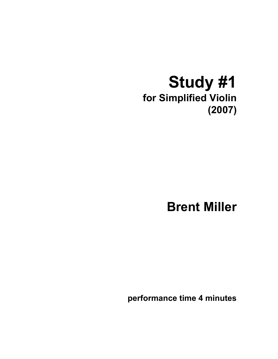## **Study #1 for Simplified Violin (2007)**

**Brent Miller**

**performance time 4 minutes**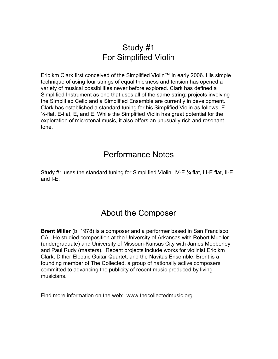## Study #1 For Simplified Violin

Eric km Clark first conceived of the Simplified Violin™ in early 2006. His simple technique of using four strings of equal thickness and tension has opened a variety of musical possibilities never before explored. Clark has defined a Simplified Instrument as one that uses all of the same string; projects involving the Simplified Cello and a Simplified Ensemble are currently in development. Clark has established a standard tuning for his Simplified Violin as follows: E  $\frac{1}{4}$ -flat, E-flat, E, and E. While the Simplified Violin has great potential for the exploration of microtonal music, it also offers an unusually rich and resonant tone.

## Performance Notes

Study #1 uses the standard tuning for Simplified Violin: IV-E  $\frac{1}{4}$  flat, III-E flat, II-E and I-E.

## About the Composer

**Brent Miller** (b. 1978) is a composer and a performer based in San Francisco, CA. He studied composition at the University of Arkansas with Robert Mueller (undergraduate) and University of Missouri-Kansas City with James Mobberley and Paul Rudy (masters). Recent projects include works for violinist Eric km Clark, Dither Electric Guitar Quartet, and the Navitas Ensemble. Brent is a founding member of The Collected, a group of nationally active composers committed to advancing the publicity of recent music produced by living musicians.

Find more information on the web: www.thecollectedmusic.org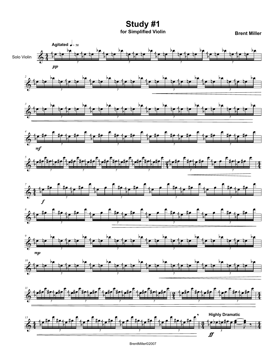Study #1 for Simplified Violin

**Brent Miller** 

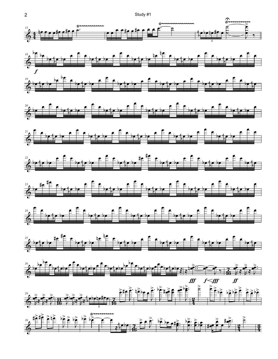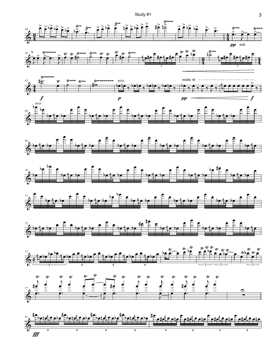